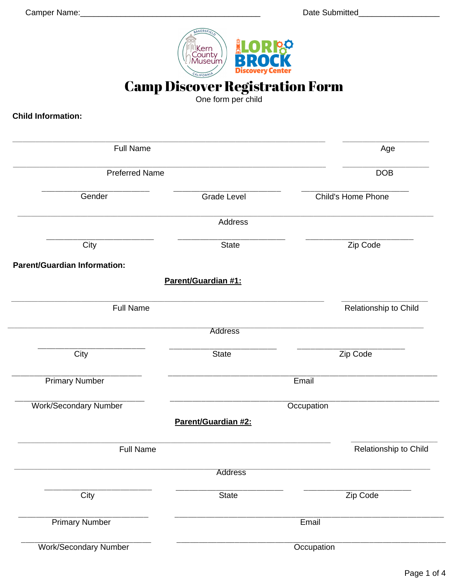

**Camp Discover Registration Form** 

**Child Information:** 

| <b>Full Name</b><br><b>Preferred Name</b> |                     | Age                   |
|-------------------------------------------|---------------------|-----------------------|
|                                           |                     | <b>DOB</b>            |
| Gender                                    | <b>Grade Level</b>  | Child's Home Phone    |
|                                           | <b>Address</b>      |                       |
| City                                      | <b>State</b>        | Zip Code              |
| <b>Parent/Guardian Information:</b>       |                     |                       |
|                                           | Parent/Guardian #1: |                       |
| <b>Full Name</b>                          |                     | Relationship to Child |
|                                           | <b>Address</b>      |                       |
| City                                      | <b>State</b>        | Zip Code              |
| <b>Primary Number</b>                     |                     | Email                 |
| <b>Work/Secondary Number</b>              |                     | Occupation            |
|                                           | Parent/Guardian #2: |                       |
| <b>Full Name</b>                          |                     | Relationship to Child |
|                                           | <b>Address</b>      |                       |
| City                                      | State               | Zip Code              |
| <b>Primary Number</b>                     |                     | Email                 |
| <b>Work/Secondary Number</b>              |                     | Occupation            |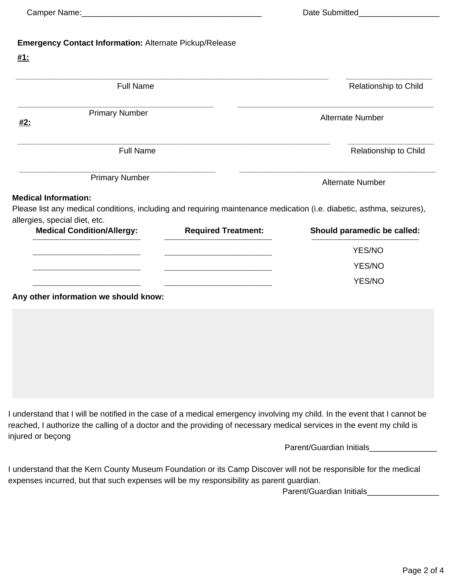| Camper Name: | Date Submitted |
|--------------|----------------|
|--------------|----------------|

# **Emergency Contact Information:** Alternate Pickup/Release

#### **#1:**

| <b>Full Name</b>                                                                                                                                                                      |                            | Relationship to Child       |  |
|---------------------------------------------------------------------------------------------------------------------------------------------------------------------------------------|----------------------------|-----------------------------|--|
| <b>Primary Number</b><br><u>#2:</u>                                                                                                                                                   |                            | Alternate Number            |  |
| <b>Full Name</b>                                                                                                                                                                      |                            | Relationship to Child       |  |
| <b>Primary Number</b>                                                                                                                                                                 |                            | Alternate Number            |  |
|                                                                                                                                                                                       |                            |                             |  |
| <b>Medical Condition/Allergy:</b>                                                                                                                                                     | <b>Required Treatment:</b> | Should paramedic be called: |  |
|                                                                                                                                                                                       |                            | YES/NO                      |  |
| <b>Medical Information:</b><br>Please list any medical conditions, including and requiring maintenance medication (i.e. diabetic, asthma, seizures),<br>allergies, special diet, etc. |                            | <b>YES/NO</b>               |  |

**Any other information we should know:**

I understand that I will be notified in the case of a medical emergency involving my child. In the event that I cannot be reached, I authorize the calling of a doctor and the providing of necessary medical services in the event my child is injured or beçong

Parent/Guardian Initials\_\_\_\_\_\_\_\_\_\_\_\_\_\_\_

I understand that the Kern County Museum Foundation or its Camp Discover will not be responsible for the medical expenses incurred, but that such expenses will be my responsibility as parent guardian.

Parent/Guardian Initials\_\_\_\_\_\_\_\_\_\_\_\_\_\_\_\_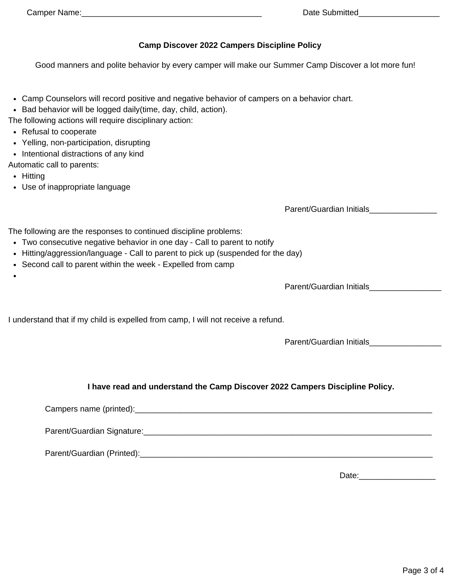## **Camp Discover 2022 Campers Discipline Policy**

Good manners and polite behavior by every camper will make our Summer Camp Discover a lot more fun!

- Camp Counselors will record positive and negative behavior of campers on a behavior chart.
- Bad behavior will be logged daily(time, day, child, action).
- The following actions will require disciplinary action:
- Refusal to cooperate
- Yelling, non-participation, disrupting
- Intentional distractions of any kind
- Automatic call to parents:
	- Hitting
	- Use of inappropriate language

Parent/Guardian Initials\_\_\_\_\_\_\_\_\_\_\_\_\_\_\_

The following are the responses to continued discipline problems:

- Two consecutive negative behavior in one day Call to parent to notify
- Hitting/aggression/language Call to parent to pick up (suspended for the day)
- Second call to parent within the week Expelled from camp

Parent/Guardian Initials\_\_\_\_\_\_\_\_\_\_\_\_\_\_\_\_

I understand that if my child is expelled from camp, I will not receive a refund.

Parent/Guardian Initials\_\_\_\_\_\_\_\_\_\_\_\_\_\_\_\_

# **I have read and understand the Camp Discover 2022 Campers Discipline Policy.**

Campers name (printed): example and the set of the set of the set of the set of the set of the set of the set of the set of the set of the set of the set of the set of the set of the set of the set of the set of the set of

Parent/Guardian Signature:\_\_\_\_\_\_\_\_\_\_\_\_\_\_\_\_\_\_\_\_\_\_\_\_\_\_\_\_\_\_\_\_\_\_\_\_\_\_\_\_\_\_\_\_\_\_\_\_\_\_\_\_\_\_\_\_\_\_\_\_\_\_\_\_

Parent/Guardian (Printed): etc. and the state of the state of the state of the state of the state of the state of the state of the state of the state of the state of the state of the state of the state of the state of the

Date:\_\_\_\_\_\_\_\_\_\_\_\_\_\_\_\_\_